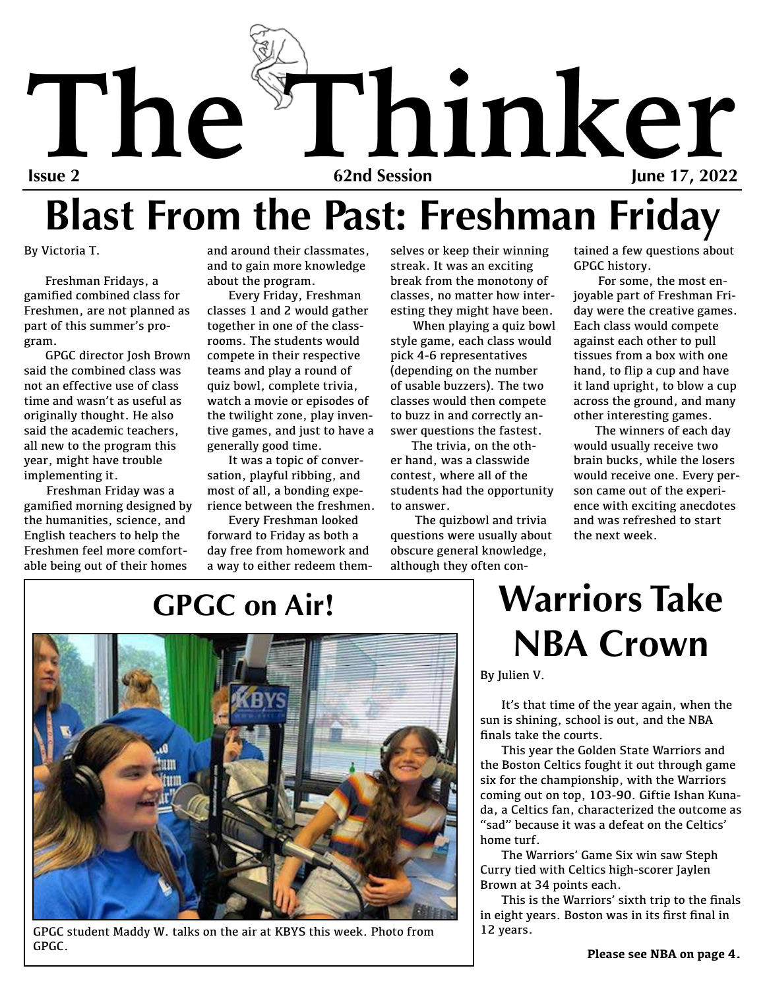

# **Blast From the Past: Freshman Friday**

By Victoria T.

Freshman Fridays, a gamified combined class for Freshmen, are not planned as part of this summer's program.

GPGC director Josh Brown said the combined class was not an effective use of class time and wasn't as useful as originally thought. He also said the academic teachers, all new to the program this year, might have trouble implementing it.

Freshman Friday was a gamified morning designed by the humanities, science, and English teachers to help the Freshmen feel more comfortable being out of their homes

and around their classmates, and to gain more knowledge about the program.

Every Friday, Freshman classes 1 and 2 would gather together in one of the classrooms. The students would compete in their respective teams and play a round of quiz bowl, complete trivia, watch a movie or episodes of the twilight zone, play inventive games, and just to have a generally good time.

It was a topic of conversation, playful ribbing, and most of all, a bonding experience between the freshmen.

Every Freshman looked forward to Friday as both a day free from homework and a way to either redeem themselves or keep their winning streak. It was an exciting break from the monotony of classes, no matter how interesting they might have been.

When playing a quiz bowl style game, each class would pick 4-6 representatives (depending on the number of usable buzzers). The two classes would then compete to buzz in and correctly answer questions the fastest.

The trivia, on the other hand, was a classwide contest, where all of the students had the opportunity to answer.

 The quizbowl and trivia questions were usually about obscure general knowledge, although they often contained a few questions about GPGC history.

 For some, the most enjoyable part of Freshman Friday were the creative games. Each class would compete against each other to pull tissues from a box with one hand, to flip a cup and have it land upright, to blow a cup across the ground, and many other interesting games.

The winners of each day would usually receive two brain bucks, while the losers would receive one. Every person came out of the experience with exciting anecdotes and was refreshed to start the next week

### **GPGC on Air!**



GPGC student Maddy W. talks on the air at KBYS this week. Photo from GPGC.

## **Warriors Take NBA Crown**

By Julien V.

It's that time of the year again, when the sun is shining, school is out, and the NBA finals take the courts.

This year the Golden State Warriors and the Boston Celtics fought it out through game six for the championship, with the Warriors coming out on top, 103-90. Giftie Ishan Kunada, a Celtics fan, characterized the outcome as "sad" because it was a defeat on the Celtics' home turf.

The Warriors' Game Six win saw Steph Curry tied with Celtics high-scorer Jaylen Brown at 34 points each.

This is the Warriors' sixth trip to the finals in eight years. Boston was in its first final in 12 years.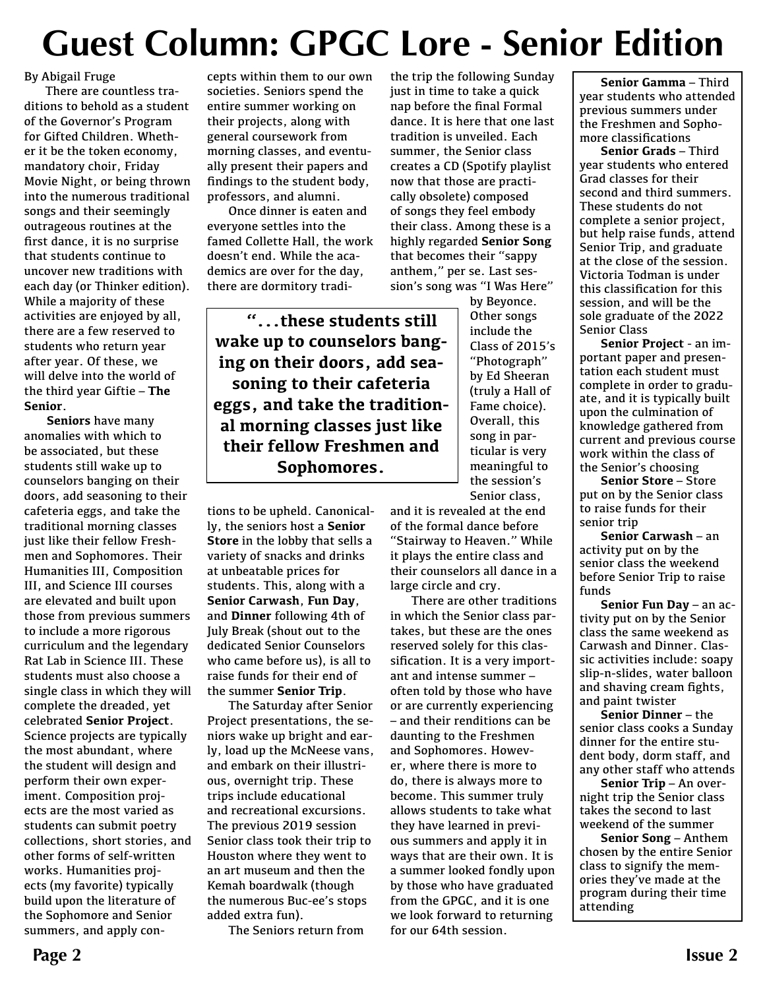## **Guest Column: GPGC Lore - Senior Edition**

By Abigail Fruge

There are countless traditions to behold as a student of the Governor's Program for Gifted Children. Whether it be the token economy, mandatory choir, Friday Movie Night, or being thrown into the numerous traditional songs and their seemingly outrageous routines at the first dance, it is no surprise that students continue to uncover new traditions with each day (or Thinker edition). While a majority of these activities are enjoyed by all, there are a few reserved to students who return year after year. Of these, we will delve into the world of the third year Giftie – **The Senior**.

**Seniors** have many anomalies with which to be associated, but these students still wake up to counselors banging on their doors, add seasoning to their cafeteria eggs, and take the traditional morning classes just like their fellow Freshmen and Sophomores. Their Humanities III, Composition III, and Science III courses are elevated and built upon those from previous summers to include a more rigorous curriculum and the legendary Rat Lab in Science III. These students must also choose a single class in which they will complete the dreaded, yet celebrated **Senior Project**. Science projects are typically the most abundant, where the student will design and perform their own experiment. Composition projects are the most varied as students can submit poetry collections, short stories, and other forms of self-written works. Humanities projects (my favorite) typically build upon the literature of the Sophomore and Senior summers, and apply concepts within them to our own societies. Seniors spend the entire summer working on their projects, along with general coursework from morning classes, and eventually present their papers and findings to the student body, professors, and alumni.

Once dinner is eaten and everyone settles into the famed Collette Hall, the work doesn't end. While the academics are over for the day, there are dormitory tradithe trip the following Sunday just in time to take a quick nap before the final Formal dance. It is here that one last tradition is unveiled. Each summer, the Senior class creates a CD (Spotify playlist now that those are practically obsolete) composed of songs they feel embody their class. Among these is a highly regarded **Senior Song** that becomes their "sappy anthem," per se. Last session's song was "I Was Here"

**"...these students still wake up to counselors banging on their doors, add seasoning to their cafeteria eggs, and take the traditional morning classes just like their fellow Freshmen and Sophomores.** 

tions to be upheld. Canonically, the seniors host a **Senior Store** in the lobby that sells a variety of snacks and drinks at unbeatable prices for students. This, along with a **Senior Carwash**, **Fun Day**, and **Dinner** following 4th of July Break (shout out to the dedicated Senior Counselors who came before us), is all to raise funds for their end of the summer **Senior Trip**.

The Saturday after Senior Project presentations, the seniors wake up bright and early, load up the McNeese vans, and embark on their illustrious, overnight trip. These trips include educational and recreational excursions. The previous 2019 session Senior class took their trip to Houston where they went to an art museum and then the Kemah boardwalk (though the numerous Buc-ee's stops added extra fun).

The Seniors return from

by Beyonce. Other songs include the Class of 2015's "Photograph" by Ed Sheeran (truly a Hall of Fame choice). Overall, this song in particular is very meaningful to the session's Senior class,

and it is revealed at the end of the formal dance before "Stairway to Heaven." While it plays the entire class and their counselors all dance in a large circle and cry.

There are other traditions in which the Senior class partakes, but these are the ones reserved solely for this classification. It is a very important and intense summer – often told by those who have or are currently experiencing – and their renditions can be daunting to the Freshmen and Sophomores. However, where there is more to do, there is always more to become. This summer truly allows students to take what they have learned in previous summers and apply it in ways that are their own. It is a summer looked fondly upon by those who have graduated from the GPGC, and it is one we look forward to returning for our 64th session.

**Senior Gamma** – Third year students who attended previous summers under the Freshmen and Sophomore classifications

**Senior Grads** – Third year students who entered Grad classes for their second and third summers. These students do not complete a senior project, but help raise funds, attend Senior Trip, and graduate at the close of the session. Victoria Todman is under this classification for this session, and will be the sole graduate of the 2022 Senior Class

**Senior Project** - an important paper and presentation each student must complete in order to graduate, and it is typically built upon the culmination of knowledge gathered from current and previous course work within the class of the Senior's choosing

**Senior Store** – Store put on by the Senior class to raise funds for their senior trip

**Senior Carwash** – an activity put on by the senior class the weekend before Senior Trip to raise funds

**Senior Fun Day** – an activity put on by the Senior class the same weekend as Carwash and Dinner. Classic activities include: soapy slip-n-slides, water balloon and shaving cream fights, and paint twister

**Senior Dinner** – the senior class cooks a Sunday dinner for the entire student body, dorm staff, and any other staff who attends

**Senior Trip** – An overnight trip the Senior class takes the second to last weekend of the summer

**Senior Song** – Anthem chosen by the entire Senior class to signify the memories they've made at the program during their time attending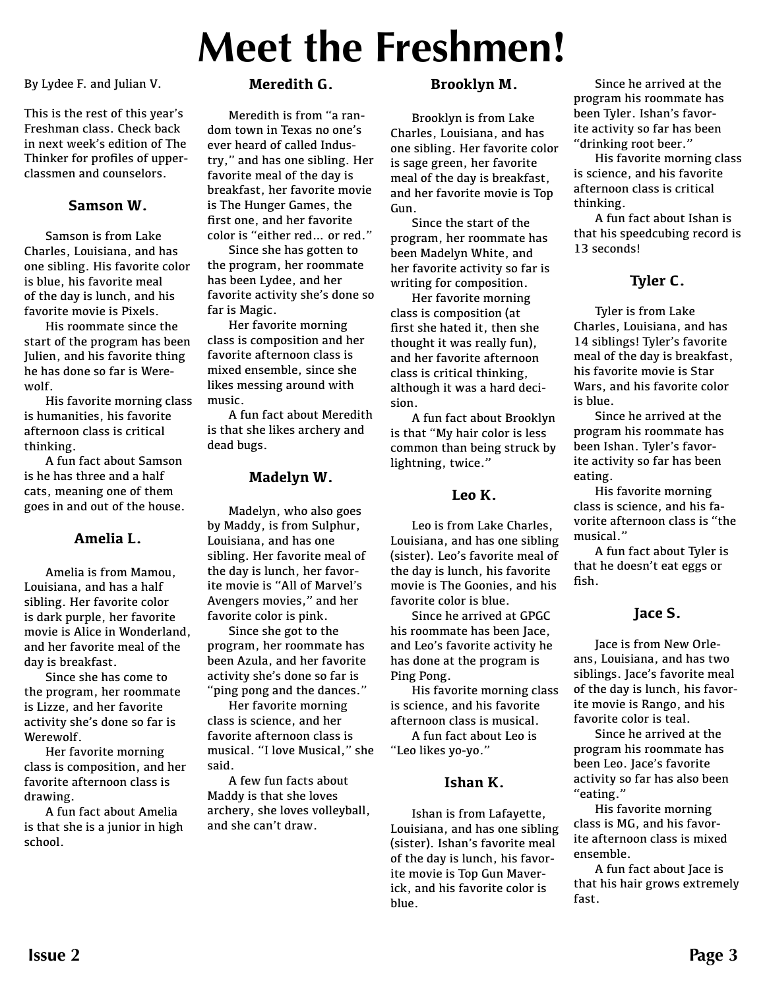# **Meet the Freshmen!**

By Lydee F. and Julian V.

This is the rest of this year's Freshman class. Check back in next week's edition of The Thinker for profiles of upperclassmen and counselors.

### **Samson W.**

Samson is from Lake Charles, Louisiana, and has one sibling. His favorite color is blue, his favorite meal of the day is lunch, and his favorite movie is Pixels.

His roommate since the start of the program has been Julien, and his favorite thing he has done so far is Werewolf.

His favorite morning class is humanities, his favorite afternoon class is critical thinking.

A fun fact about Samson is he has three and a half cats, meaning one of them goes in and out of the house.

### **Amelia L.**

Amelia is from Mamou, Louisiana, and has a half sibling. Her favorite color is dark purple, her favorite movie is Alice in Wonderland, and her favorite meal of the day is breakfast.

Since she has come to the program, her roommate is Lizze, and her favorite activity she's done so far is Werewolf.

Her favorite morning class is composition, and her favorite afternoon class is drawing.

A fun fact about Amelia is that she is a junior in high school.

### **Meredith G.**

Meredith is from "a random town in Texas no one's ever heard of called Industry," and has one sibling. Her favorite meal of the day is breakfast, her favorite movie is The Hunger Games, the first one, and her favorite color is "either red… or red."

Since she has gotten to the program, her roommate has been Lydee, and her favorite activity she's done so far is Magic.

Her favorite morning class is composition and her favorite afternoon class is mixed ensemble, since she likes messing around with music.

A fun fact about Meredith is that she likes archery and dead bugs.

### **Madelyn W.**

Madelyn, who also goes by Maddy, is from Sulphur, Louisiana, and has one sibling. Her favorite meal of the day is lunch, her favorite movie is "All of Marvel's Avengers movies," and her favorite color is pink.

Since she got to the program, her roommate has been Azula, and her favorite activity she's done so far is "ping pong and the dances."

Her favorite morning class is science, and her favorite afternoon class is musical. "I love Musical," she said.

A few fun facts about Maddy is that she loves archery, she loves volleyball, and she can't draw.

### **Brooklyn M.**

Brooklyn is from Lake Charles, Louisiana, and has one sibling. Her favorite color is sage green, her favorite meal of the day is breakfast, and her favorite movie is Top Gun.

Since the start of the program, her roommate has been Madelyn White, and her favorite activity so far is writing for composition.

Her favorite morning class is composition (at first she hated it, then she thought it was really fun), and her favorite afternoon class is critical thinking, although it was a hard decision.

A fun fact about Brooklyn is that "My hair color is less common than being struck by lightning, twice."

### **Leo K.**

Leo is from Lake Charles, Louisiana, and has one sibling (sister). Leo's favorite meal of the day is lunch, his favorite movie is The Goonies, and his favorite color is blue.

Since he arrived at GPGC his roommate has been Jace, and Leo's favorite activity he has done at the program is Ping Pong.

His favorite morning class is science, and his favorite afternoon class is musical. A fun fact about Leo is

"Leo likes yo-yo."

### **Ishan K.**

Ishan is from Lafayette, Louisiana, and has one sibling (sister). Ishan's favorite meal of the day is lunch, his favorite movie is Top Gun Maverick, and his favorite color is blue.

Since he arrived at the program his roommate has been Tyler. Ishan's favorite activity so far has been "drinking root beer."

His favorite morning class is science, and his favorite afternoon class is critical thinking.

A fun fact about Ishan is that his speedcubing record is 13 seconds!

### **Tyler C.**

Tyler is from Lake Charles, Louisiana, and has 14 siblings! Tyler's favorite meal of the day is breakfast, his favorite movie is Star Wars, and his favorite color is blue.

Since he arrived at the program his roommate has been Ishan. Tyler's favorite activity so far has been eating.

His favorite morning class is science, and his favorite afternoon class is "the musical."

A fun fact about Tyler is that he doesn't eat eggs or fish.

### **Jace S.**

Jace is from New Orleans, Louisiana, and has two siblings. Jace's favorite meal of the day is lunch, his favorite movie is Rango, and his favorite color is teal.

Since he arrived at the program his roommate has been Leo. Jace's favorite activity so far has also been "eating."

His favorite morning class is MG, and his favorite afternoon class is mixed ensemble.

A fun fact about Jace is that his hair grows extremely fast.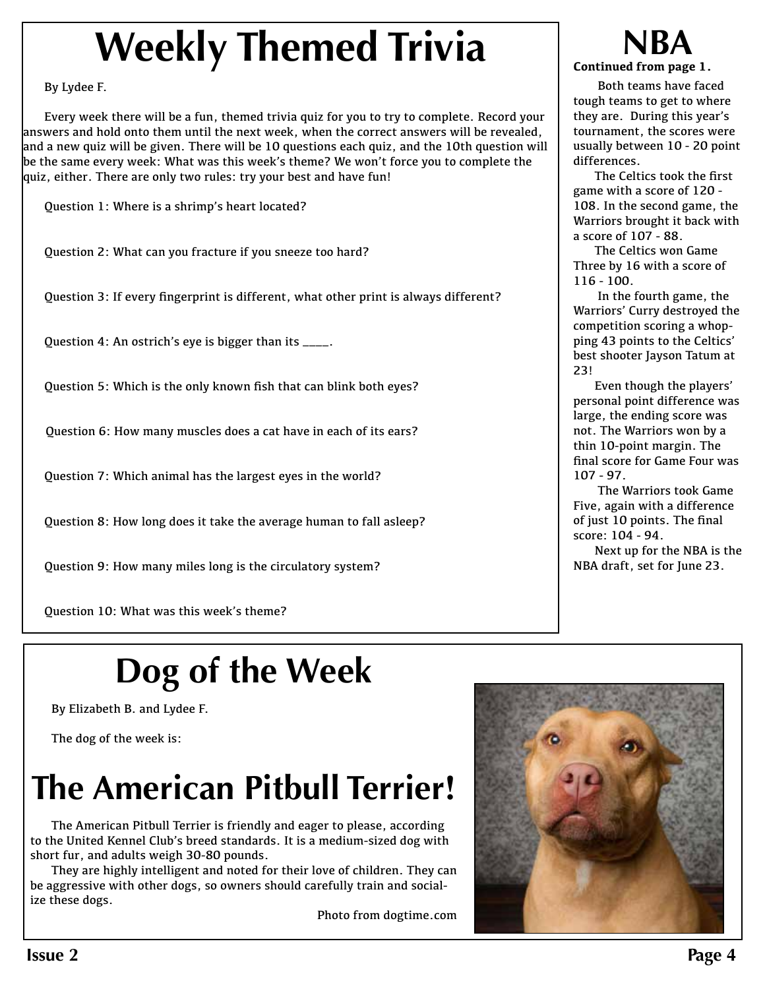# **Weekly Themed Trivia**

By Lydee F.

Every week there will be a fun, themed trivia quiz for you to try to complete. Record your answers and hold onto them until the next week, when the correct answers will be revealed, and a new quiz will be given. There will be 10 questions each quiz, and the 10th question will be the same every week: What was this week's theme? We won't force you to complete the quiz, either. There are only two rules: try your best and have fun!

Question 1: Where is a shrimp's heart located?

Question 2: What can you fracture if you sneeze too hard?

Ouestion 3: If every fingerprint is different, what other print is always different?

Question 4: An ostrich's eye is bigger than its \_\_\_\_.

Ouestion 5: Which is the only known fish that can blink both eyes?

Question 6: How many muscles does a cat have in each of its ears?

Question 7: Which animal has the largest eyes in the world?

Question 8: How long does it take the average human to fall asleep?

Question 9: How many miles long is the circulatory system?

Question 10: What was this week's theme?

## **Dog of the Week**

By Elizabeth B. and Lydee F.

The dog of the week is:

## **The American Pitbull Terrier!**

The American Pitbull Terrier is friendly and eager to please, according to the United Kennel Club's breed standards. It is a medium-sized dog with short fur, and adults weigh 30-80 pounds.

They are highly intelligent and noted for their love of children. They can be aggressive with other dogs, so owners should carefully train and socialize these dogs.

Photo from dogtime.com

### **NBA Continued from page 1.**

 Both teams have faced tough teams to get to where they are. During this year's tournament, the scores were usually between 10 - 20 point differences.

The Celtics took the first game with a score of 120 - 108. In the second game, the Warriors brought it back with a score of 107 - 88.

The Celtics won Game Three by 16 with a score of 116 - 100.

 In the fourth game, the Warriors' Curry destroyed the competition scoring a whopping 43 points to the Celtics' best shooter Jayson Tatum at 23!

Even though the players' personal point difference was large, the ending score was not. The Warriors won by a thin 10-point margin. The final score for Game Four was 107 - 97.

 The Warriors took Game Five, again with a difference of just 10 points. The final score: 104 - 94.

Next up for the NBA is the NBA draft, set for June 23.

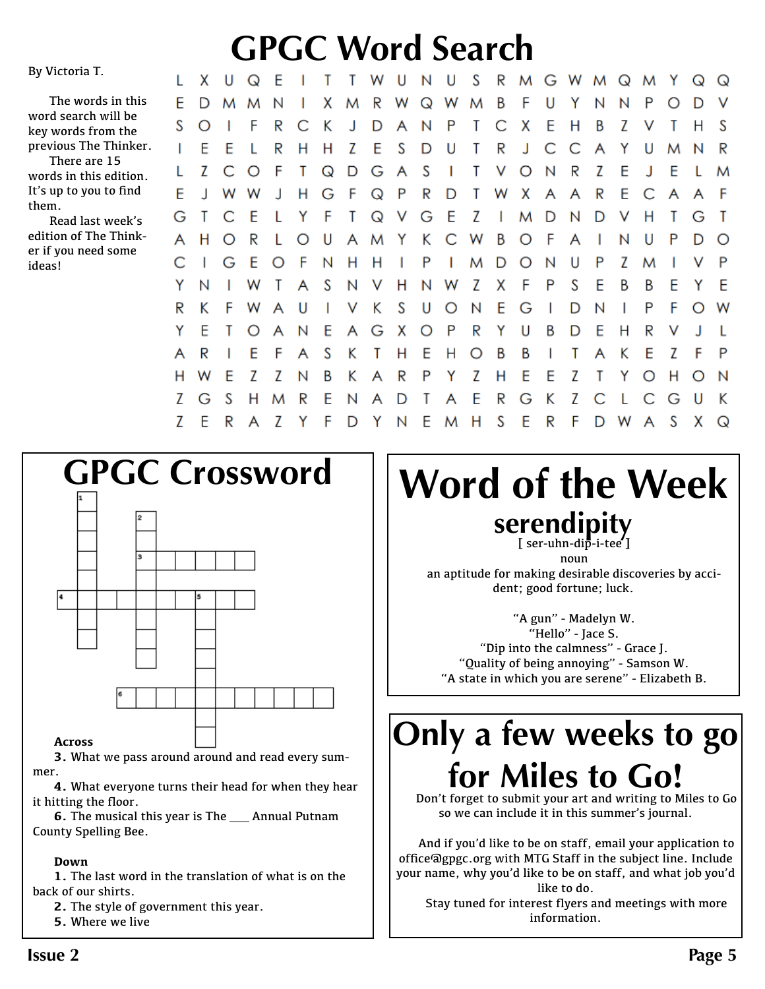#### By Victoria T.

The words in this word search will be key words from the previous The Thinker. L

There are 15 words in this edition. It's up to you to find them.

Read last week's edition of The Thinker if you need some ideas!

#### **GPGC Word Search** x U Q -E  $\mathbf{I}$ T. т W U N U S. R M G W M Q M x R Β F U Y D M M N  $\mathbf{I}$ M W Q W M Ν N

F P O D V C S K J P T Ċ E  $\circ$  $\mathbf{I}$ F R D A N X Н Β Z V Т Н S S R Z E D T R J C C Y. T E E L H H U A U M N S Z F T  $\Omega$ D G A  $\overline{1}$ T V  $O N$ R Z E J E L O T M E F R D  $\mathsf{T}$ R E. C J н G Q P W X F J W W A A A A F T G E Z н G Τ C F L Y Q v M - D D V  $\top$  $\mathbf{I}$ N G Т H.  $\circ$ R L  $\circ$ U Y Κ C W Β  $\circ$ F  $\mathbf{I}$ N U P D А A M A  $\Omega$ Ć T G E O F N Н - H I P  $\overline{1}$ D  $\circ$ N U P Z P M M Υ N w Τ A S N V Н N W Ζ X F P S E B B E Y E R K F W A U  $\overline{1}$ V Κ S U  $\circ$ N E G D N  $\mathsf{L}$ P F O  $\mathbf{I}$ W Y E E G X P R Y U B D E R  $\circ$  $\overline{\mathsf{A}}$ N A O Н V L E S T E А R F A K  $\mathbf{T}$ н Е Н  $\circ$ B В T. A Κ Z Z Z O H E Z B Κ R P Y Z E E Τ Y н W. N A H  $\circ$ N Z H M R E D Τ E R G Κ Z С L - G G S N A A 7 Y F E S F  $\overline{7}$ D Y N M H F R F D W A S x  $\Omega$ 



### **Across**

**3.** What we pass around around and read every summer.

**4.** What everyone turns their head for when they hear it hitting the floor.

**6.** The musical this year is The \_\_ Annual Putnam County Spelling Bee.

### **Down**

**1.** The last word in the translation of what is on the back of our shirts.

**2.** The style of government this year.

**5.** Where we live

# **GPGC Crossword Word of the Week serendipity**<br> **[** ser-uhn-dip-i-tee ]

Y.

 $\Omega$  $\Omega$ 

noun an aptitude for making desirable discoveries by accident; good fortune; luck.

"A gun" - Madelyn W. "Hello" - Jace S. "Dip into the calmness" - Grace J. "Quality of being annoying" - Samson W. "A state in which you are serene" - Elizabeth B.

## **Only a few weeks to go for Miles to Go!**

Don't forget to submit your art and writing to Miles to Go so we can include it in this summer's journal.

And if you'd like to be on staff, email your application to office@gpgc.org with MTG Staff in the subject line. Include your name, why you'd like to be on staff, and what job you'd like to do.

Stay tuned for interest flyers and meetings with more information.